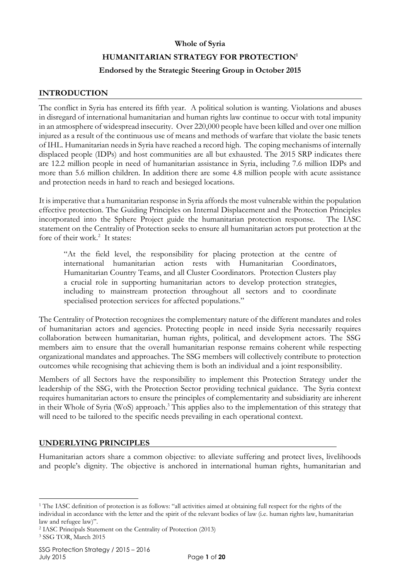# **Whole of Syria HUMANITARIAN STRATEGY FOR PROTECTION<sup>1</sup> Endorsed by the Strategic Steering Group in October 2015**

## **INTRODUCTION**

The conflict in Syria has entered its fifth year. A political solution is wanting. Violations and abuses in disregard of international humanitarian and human rights law continue to occur with total impunity in an atmosphere of widespread insecurity. Over 220,000 people have been killed and over one million injured as a result of the continuous use of means and methods of warfare that violate the basic tenets of IHL. Humanitarian needs in Syria have reached a record high. The coping mechanisms of internally displaced people (IDPs) and host communities are all but exhausted. The 2015 SRP indicates there are 12.2 million people in need of humanitarian assistance in Syria, including 7.6 million IDPs and more than 5.6 million children. In addition there are some 4.8 million people with acute assistance and protection needs in hard to reach and besieged locations.

It is imperative that a humanitarian response in Syria affords the most vulnerable within the population effective protection. The Guiding Principles on Internal Displacement and the Protection Principles incorporated into the Sphere Project guide the humanitarian protection response. The IASC statement on the Centrality of Protection seeks to ensure all humanitarian actors put protection at the fore of their work.<sup>2</sup> It states:

"At the field level, the responsibility for placing protection at the centre of international humanitarian action rests with Humanitarian Coordinators, Humanitarian Country Teams, and all Cluster Coordinators. Protection Clusters play a crucial role in supporting humanitarian actors to develop protection strategies, including to mainstream protection throughout all sectors and to coordinate specialised protection services for affected populations."

The Centrality of Protection recognizes the complementary nature of the different mandates and roles of humanitarian actors and agencies. Protecting people in need inside Syria necessarily requires collaboration between humanitarian, human rights, political, and development actors. The SSG members aim to ensure that the overall humanitarian response remains coherent while respecting organizational mandates and approaches. The SSG members will collectively contribute to protection outcomes while recognising that achieving them is both an individual and a joint responsibility.

Members of all Sectors have the responsibility to implement this Protection Strategy under the leadership of the SSG, with the Protection Sector providing technical guidance. The Syria context requires humanitarian actors to ensure the principles of complementarity and subsidiarity are inherent in their Whole of Syria (WoS) approach.<sup>3</sup> This applies also to the implementation of this strategy that will need to be tailored to the specific needs prevailing in each operational context.

## **UNDERLYING PRINCIPLES**

Humanitarian actors share a common objective: to alleviate suffering and protect lives, livelihoods and people's dignity. The objective is anchored in international human rights, humanitarian and

<sup>-</sup><sup>1</sup> The IASC definition of protection is as follows: "all activities aimed at obtaining full respect for the rights of the individual in accordance with the letter and the spirit of the relevant bodies of law (i.e. human rights law, humanitarian law and refugee law)".

<sup>2</sup> IASC Principals Statement on the Centrality of Protection (2013)

<sup>3</sup> SSG TOR, March 2015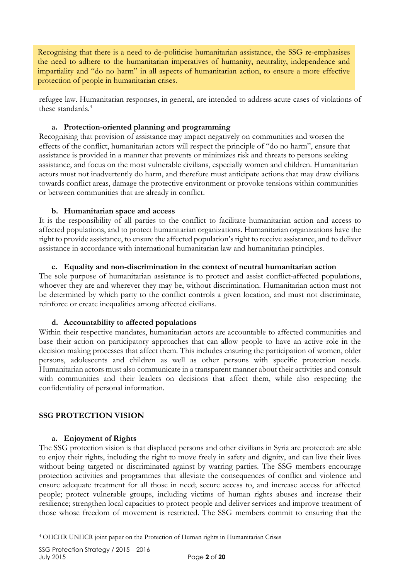Recognising that there is a need to de-politicise humanitarian assistance, the SSG re-emphasises the need to adhere to the humanitarian imperatives of humanity, neutrality, independence and impartiality and "do no harm" in all aspects of humanitarian action, to ensure a more effective protection of people in humanitarian crises.

refugee law. Humanitarian responses, in general, are intended to address acute cases of violations of these standards.<sup>4</sup>

#### **a. Protection-oriented planning and programming**

Recognising that provision of assistance may impact negatively on communities and worsen the effects of the conflict, humanitarian actors will respect the principle of "do no harm", ensure that assistance is provided in a manner that prevents or minimizes risk and threats to persons seeking assistance, and focus on the most vulnerable civilians, especially women and children. Humanitarian actors must not inadvertently do harm, and therefore must anticipate actions that may draw civilians towards conflict areas, damage the protective environment or provoke tensions within communities or between communities that are already in conflict.

#### **b. Humanitarian space and access**

It is the responsibility of all parties to the conflict to facilitate humanitarian action and access to affected populations, and to protect humanitarian organizations. Humanitarian organizations have the right to provide assistance, to ensure the affected population's right to receive assistance, and to deliver assistance in accordance with international humanitarian law and humanitarian principles.

#### **c. Equality and non-discrimination in the context of neutral humanitarian action**

The sole purpose of humanitarian assistance is to protect and assist conflict-affected populations, whoever they are and wherever they may be, without discrimination. Humanitarian action must not be determined by which party to the conflict controls a given location, and must not discriminate, reinforce or create inequalities among affected civilians.

#### **d. Accountability to affected populations**

Within their respective mandates, humanitarian actors are accountable to affected communities and base their action on participatory approaches that can allow people to have an active role in the decision making processes that affect them. This includes ensuring the participation of women, older persons, adolescents and children as well as other persons with specific protection needs. Humanitarian actors must also communicate in a transparent manner about their activities and consult with communities and their leaders on decisions that affect them, while also respecting the confidentiality of personal information.

## **SSG PROTECTION VISION**

#### **a. Enjoyment of Rights**

The SSG protection vision is that displaced persons and other civilians in Syria are protected: are able to enjoy their rights, including the right to move freely in safety and dignity, and can live their lives without being targeted or discriminated against by warring parties. The SSG members encourage protection activities and programmes that alleviate the consequences of conflict and violence and ensure adequate treatment for all those in need; secure access to, and increase access for affected people; protect vulnerable groups, including victims of human rights abuses and increase their resilience; strengthen local capacities to protect people and deliver services and improve treatment of those whose freedom of movement is restricted. The SSG members commit to ensuring that the

 $\overline{a}$ 

<sup>4</sup> OHCHR UNHCR joint paper on the Protection of Human rights in Humanitarian Crises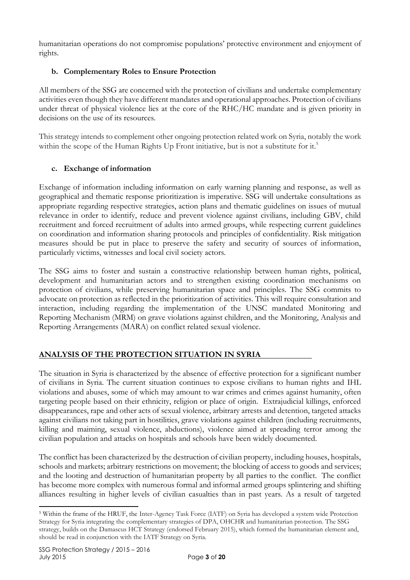humanitarian operations do not compromise populations' protective environment and enjoyment of rights.

# **b. Complementary Roles to Ensure Protection**

All members of the SSG are concerned with the protection of civilians and undertake complementary activities even though they have different mandates and operational approaches. Protection of civilians under threat of physical violence lies at the core of the RHC/HC mandate and is given priority in decisions on the use of its resources.

This strategy intends to complement other ongoing protection related work on Syria, notably the work within the scope of the Human Rights Up Front initiative, but is not a substitute for it.<sup>5</sup>

# **c. Exchange of information**

Exchange of information including information on early warning planning and response, as well as geographical and thematic response prioritization is imperative. SSG will undertake consultations as appropriate regarding respective strategies, action plans and thematic guidelines on issues of mutual relevance in order to identify, reduce and prevent violence against civilians, including GBV, child recruitment and forced recruitment of adults into armed groups, while respecting current guidelines on coordination and information sharing protocols and principles of confidentiality. Risk mitigation measures should be put in place to preserve the safety and security of sources of information, particularly victims, witnesses and local civil society actors.

The SSG aims to foster and sustain a constructive relationship between human rights, political, development and humanitarian actors and to strengthen existing coordination mechanisms on protection of civilians, while preserving humanitarian space and principles. The SSG commits to advocate on protection as reflected in the prioritization of activities. This will require consultation and interaction, including regarding the implementation of the UNSC mandated Monitoring and Reporting Mechanism (MRM) on grave violations against children, and the Monitoring, Analysis and Reporting Arrangements (MARA) on conflict related sexual violence.

# **ANALYSIS OF THE PROTECTION SITUATION IN SYRIA**

The situation in Syria is characterized by the absence of effective protection for a significant number of civilians in Syria. The current situation continues to expose civilians to human rights and IHL violations and abuses, some of which may amount to war crimes and crimes against humanity, often targeting people based on their ethnicity, religion or place of origin. Extrajudicial killings, enforced disappearances, rape and other acts of sexual violence, arbitrary arrests and detention, targeted attacks against civilians not taking part in hostilities, grave violations against children (including recruitments, killing and maiming, sexual violence, abductions), violence aimed at spreading terror among the civilian population and attacks on hospitals and schools have been widely documented.

The conflict has been characterized by the destruction of civilian property, including houses, hospitals, schools and markets; arbitrary restrictions on movement; the blocking of access to goods and services; and the looting and destruction of humanitarian property by all parties to the conflict. The conflict has become more complex with numerous formal and informal armed groups splintering and shifting alliances resulting in higher levels of civilian casualties than in past years. As a result of targeted

<sup>-</sup><sup>5</sup> Within the frame of the HRUF, the Inter-Agency Task Force (IATF) on Syria has developed a system wide Protection Strategy for Syria integrating the complementary strategies of DPA, OHCHR and humanitarian protection. The SSG strategy, builds on the Damascus HCT Strategy (endorsed February 2015), which formed the humanitarian element and, should be read in conjunction with the IATF Strategy on Syria.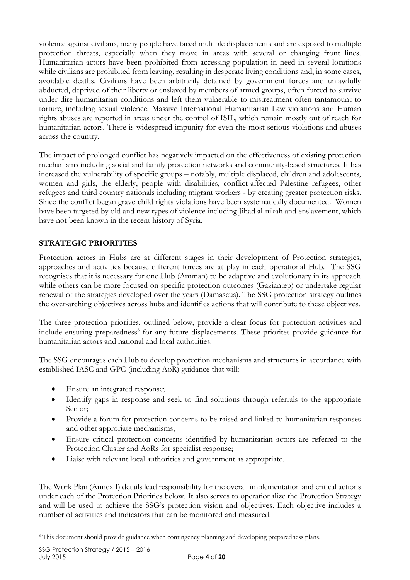violence against civilians, many people have faced multiple displacements and are exposed to multiple protection threats, especially when they move in areas with several or changing front lines. Humanitarian actors have been prohibited from accessing population in need in several locations while civilians are prohibited from leaving, resulting in desperate living conditions and, in some cases, avoidable deaths. Civilians have been arbitrarily detained by government forces and unlawfully abducted, deprived of their liberty or enslaved by members of armed groups, often forced to survive under dire humanitarian conditions and left them vulnerable to mistreatment often tantamount to torture, including sexual violence. Massive International Humanitarian Law violations and Human rights abuses are reported in areas under the control of ISIL, which remain mostly out of reach for humanitarian actors. There is widespread impunity for even the most serious violations and abuses across the country.

The impact of prolonged conflict has negatively impacted on the effectiveness of existing protection mechanisms including social and family protection networks and community-based structures. It has increased the vulnerability of specific groups – notably, multiple displaced, children and adolescents, women and girls, the elderly, people with disabilities, conflict-affected Palestine refugees, other refugees and third country nationals including migrant workers - by creating greater protection risks. Since the conflict began grave child rights violations have been systematically documented. Women have been targeted by old and new types of violence including Jihad al-nikah and enslavement, which have not been known in the recent history of Syria.

# **STRATEGIC PRIORITIES**

Protection actors in Hubs are at different stages in their development of Protection strategies, approaches and activities because different forces are at play in each operational Hub. The SSG recognises that it is necessary for one Hub (Amman) to be adaptive and evolutionary in its approach while others can be more focused on specific protection outcomes (Gaziantep) or undertake regular renewal of the strategies developed over the years (Damascus). The SSG protection strategy outlines the over-arching objectives across hubs and identifies actions that will contribute to these objectives.

The three protection priorities, outlined below, provide a clear focus for protection activities and include ensuring preparedness<sup>6</sup> for any future displacements. These priorites provide guidance for humanitarian actors and national and local authorities.

The SSG encourages each Hub to develop protection mechanisms and structures in accordance with established IASC and GPC (including AoR) guidance that will:

- Ensure an integrated response;
- Identify gaps in response and seek to find solutions through referrals to the appropriate Sector;
- Provide a forum for protection concerns to be raised and linked to humanitarian responses and other approriate mechanisms;
- Ensure critical protection concerns identified by humanitarian actors are referred to the Protection Cluster and AoRs for specialist response;
- Liaise with relevant local authorities and government as appropriate.

The Work Plan (Annex I) details lead responsibility for the overall implementation and critical actions under each of the Protection Priorities below. It also serves to operationalize the Protection Strategy and will be used to achieve the SSG's protection vision and objectives. Each objective includes a number of activities and indicators that can be monitored and measured.

 $\overline{a}$ <sup>6</sup> This document should provide guidance when contingency planning and developing preparedness plans.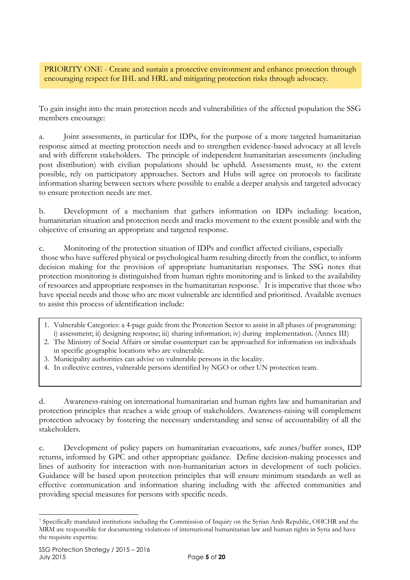PRIORITY ONE - Create and sustain a protective environment and enhance protection through encouraging respect for IHL and HRL and mitigating protection risks through advocacy.

To gain insight into the main protection needs and vulnerabilities of the affected population the SSG members encourage:

a. Joint assessments, in particular for IDPs, for the purpose of a more targeted humanitarian response aimed at meeting protection needs and to strengthen evidence-based advocacy at all levels and with different stakeholders. The principle of independent humanitarian assessments (including post distribution) with civilian populations should be upheld. Assessments must, to the extent possible, rely on participatory approaches. Sectors and Hubs will agree on protocols to facilitate information sharing between sectors where possible to enable a deeper analysis and targeted advocacy to ensure protection needs are met.

b. Development of a mechanism that gathers information on IDPs including: location, humanitarian situation and protection needs and tracks movement to the extent possible and with the objective of ensuring an appropriate and targeted response.

c. Monitoring of the protection situation of IDPs and conflict affected civilians, especially those who have suffered physical or psychological harm resulting directly from the conflict, to inform decision making for the provision of appropriate humanitarian responses. The SSG notes that protection monitoring is distinguished from human rights monitoring and is linked to the availability of resources and appropriate responses in the humanitarian response.<sup>7</sup> It is imperative that those who have special needs and those who are most vulnerable are identified and prioritised. Available avenues to assist this process of identification include:

- 1. Vulnerable Categories: a 4-page guide from the Protection Sector to assist in all phases of programming: i) assessment; ii) designing response; iii) sharing information; iv) during implementation. (Annex III)
- 2. The Ministry of Social Affairs or similar counterpart can be approached for information on individuals in specific geographic locations who are vulnerable.
- 3. Municipality authorities can advise on vulnerable persons in the locality.
- 4. In collective centres, vulnerable persons identified by NGO or other UN protection team.

d. Awareness-raising on international humanitarian and human rights law and humanitarian and protection principles that reaches a wide group of stakeholders. Awareness-raising will complement protection advocacy by fostering the necessary understanding and sense of accountability of all the stakeholders.

e. Development of policy papers on humanitarian evacuations, safe zones/buffer zones, IDP returns, informed by GPC and other appropriate guidance. Define decision-making processes and lines of authority for interaction with non-humanitarian actors in development of such policies. Guidance will be based upon protection principles that will ensure minimum standards as well as effective communication and information sharing including with the affected communities and providing special measures for persons with specific needs.

<sup>-</sup><sup>7</sup> Specifically mandated institutions including the Commission of Inquiry on the Syrian Arab Republic, OHCHR and the MRM are responsible for documenting violations of international humanitarian law and human rights in Syria and have the requisite expertise.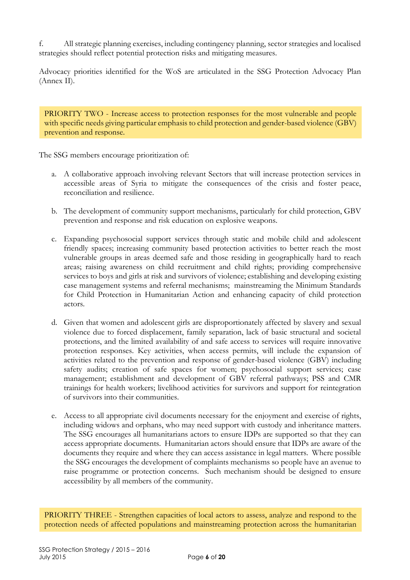f. All strategic planning exercises, including contingency planning, sector strategies and localised strategies should reflect potential protection risks and mitigating measures.

Advocacy priorities identified for the WoS are articulated in the SSG Protection Advocacy Plan (Annex II).

PRIORITY TWO - Increase access to protection responses for the most vulnerable and people with specific needs giving particular emphasis to child protection and gender-based violence (GBV) prevention and response.

The SSG members encourage prioritization of:

- a. A collaborative approach involving relevant Sectors that will increase protection services in accessible areas of Syria to mitigate the consequences of the crisis and foster peace, reconciliation and resilience.
- b. The development of community support mechanisms, particularly for child protection, GBV prevention and response and risk education on explosive weapons.
- c. Expanding psychosocial support services through static and mobile child and adolescent friendly spaces; increasing community based protection activities to better reach the most vulnerable groups in areas deemed safe and those residing in geographically hard to reach areas; raising awareness on child recruitment and child rights; providing comprehensive services to boys and girls at risk and survivors of violence; establishing and developing existing case management systems and referral mechanisms; mainstreaming the Minimum Standards for Child Protection in Humanitarian Action and enhancing capacity of child protection actors.
- d. Given that women and adolescent girls are disproportionately affected by slavery and sexual violence due to forced displacement, family separation, lack of basic structural and societal protections, and the limited availability of and safe access to services will require innovative protection responses. Key activities, when access permits, will include the expansion of activities related to the prevention and response of gender-based violence (GBV) including safety audits; creation of safe spaces for women; psychosocial support services; case management; establishment and development of GBV referral pathways; PSS and CMR trainings for health workers; livelihood activities for survivors and support for reintegration of survivors into their communities.
- e. Access to all appropriate civil documents necessary for the enjoyment and exercise of rights, including widows and orphans, who may need support with custody and inheritance matters. The SSG encourages all humanitarians actors to ensure IDPs are supported so that they can access appropriate documents. Humanitarian actors should ensure that IDPs are aware of the documents they require and where they can access assistance in legal matters. Where possible the SSG encourages the development of complaints mechanisms so people have an avenue to raise programme or protection concerns. Such mechanism should be designed to ensure accessibility by all members of the community.

PRIORITY THREE - Strengthen capacities of local actors to assess, analyze and respond to the protection needs of affected populations and mainstreaming protection across the humanitarian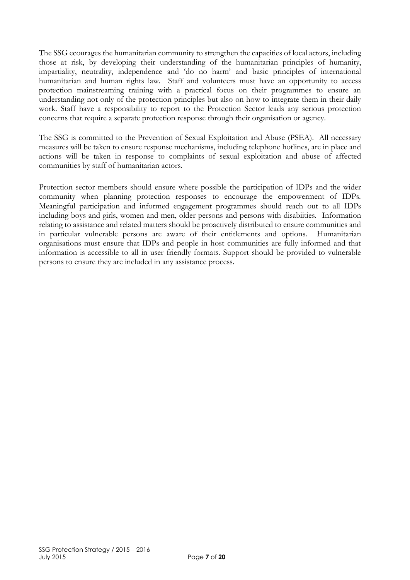The SSG ecourages the humanitarian community to strengthen the capacities of local actors, including those at risk, by developing their understanding of the humanitarian principles of humanity, impartiality, neutrality, independence and 'do no harm' and basic principles of international humanitarian and human rights law. Staff and volunteers must have an opportunity to access protection mainstreaming training with a practical focus on their programmes to ensure an understanding not only of the protection principles but also on how to integrate them in their daily work. Staff have a responsibility to report to the Protection Sector leads any serious protection concerns that require a separate protection response through their organisation or agency.

The SSG is committed to the Prevention of Sexual Exploitation and Abuse (PSEA). All necessary measures will be taken to ensure response mechanisms, including telephone hotlines, are in place and actions will be taken in response to complaints of sexual exploitation and abuse of affected communities by staff of humanitarian actors.

Protection sector members should ensure where possible the participation of IDPs and the wider community when planning protection responses to encourage the empowerment of IDPs. Meaningful participation and informed engagement programmes should reach out to all IDPs including boys and girls, women and men, older persons and persons with disabiities. Information relating to assistance and related matters should be proactively distributed to ensure communities and in particular vulnerable persons are aware of their entitlements and options. Humanitarian organisations must ensure that IDPs and people in host communities are fully informed and that information is accessible to all in user friendly formats. Support should be provided to vulnerable persons to ensure they are included in any assistance process.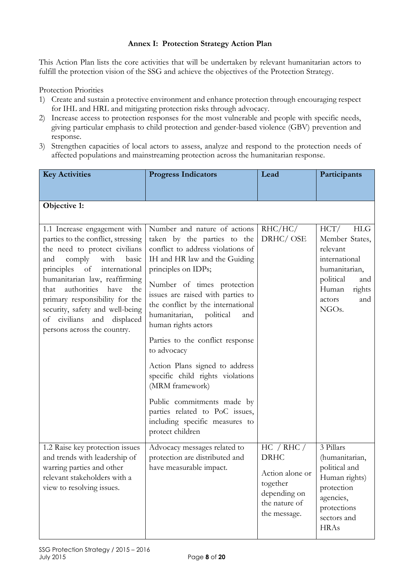## **Annex I: Protection Strategy Action Plan**

This Action Plan lists the core activities that will be undertaken by relevant humanitarian actors to fulfill the protection vision of the SSG and achieve the objectives of the Protection Strategy.

Protection Priorities

- 1) Create and sustain a protective environment and enhance protection through encouraging respect for IHL and HRL and mitigating protection risks through advocacy.
- 2) Increase access to protection responses for the most vulnerable and people with specific needs, giving particular emphasis to child protection and gender-based violence (GBV) prevention and response.
- 3) Strengthen capacities of local actors to assess, analyze and respond to the protection needs of affected populations and mainstreaming protection across the humanitarian response.

| <b>Key Activities</b>                                                                                                                                                                                                                                                                                                                                                         | <b>Progress Indicators</b>                                                                                                                                                                                                                                                                                                                                                                                                                                                                                                                                                                  | Lead                                                                                                      | Participants                                                                                                                                              |
|-------------------------------------------------------------------------------------------------------------------------------------------------------------------------------------------------------------------------------------------------------------------------------------------------------------------------------------------------------------------------------|---------------------------------------------------------------------------------------------------------------------------------------------------------------------------------------------------------------------------------------------------------------------------------------------------------------------------------------------------------------------------------------------------------------------------------------------------------------------------------------------------------------------------------------------------------------------------------------------|-----------------------------------------------------------------------------------------------------------|-----------------------------------------------------------------------------------------------------------------------------------------------------------|
|                                                                                                                                                                                                                                                                                                                                                                               |                                                                                                                                                                                                                                                                                                                                                                                                                                                                                                                                                                                             |                                                                                                           |                                                                                                                                                           |
| Objective 1:                                                                                                                                                                                                                                                                                                                                                                  |                                                                                                                                                                                                                                                                                                                                                                                                                                                                                                                                                                                             |                                                                                                           |                                                                                                                                                           |
| 1.1 Increase engagement with<br>parties to the conflict, stressing<br>the need to protect civilians<br>comply<br>with<br>basic<br>and<br>principles of international<br>humanitarian law, reaffirming<br>authorities<br>have<br>that<br>the<br>primary responsibility for the<br>security, safety and well-being<br>of civilians and displaced<br>persons across the country. | Number and nature of actions<br>taken by the parties to the<br>conflict to address violations of<br>IH and HR law and the Guiding<br>principles on IDPs;<br>Number of times protection<br>issues are raised with parties to<br>the conflict by the international<br>humanitarian, political<br>and<br>human rights actors<br>Parties to the conflict response<br>to advocacy<br>Action Plans signed to address<br>specific child rights violations<br>(MRM framework)<br>Public commitments made by<br>parties related to PoC issues,<br>including specific measures to<br>protect children | RHC/HC/<br>DRHC/OSE                                                                                       | HCT/<br>HLG<br>Member States,<br>relevant<br>international<br>humanitarian,<br>political<br>and<br>Human<br>rights<br>and<br>actors<br>NGO <sub>s</sub> . |
| 1.2 Raise key protection issues<br>and trends with leadership of<br>warring parties and other<br>relevant stakeholders with a<br>view to resolving issues.                                                                                                                                                                                                                    | Advocacy messages related to<br>protection are distributed and<br>have measurable impact.                                                                                                                                                                                                                                                                                                                                                                                                                                                                                                   | HC / RHC /<br><b>DRHC</b><br>Action alone or<br>together<br>depending on<br>the nature of<br>the message. | 3 Pillars<br>(humanitarian,<br>political and<br>Human rights)<br>protection<br>agencies,<br>protections<br>sectors and<br><b>HRAs</b>                     |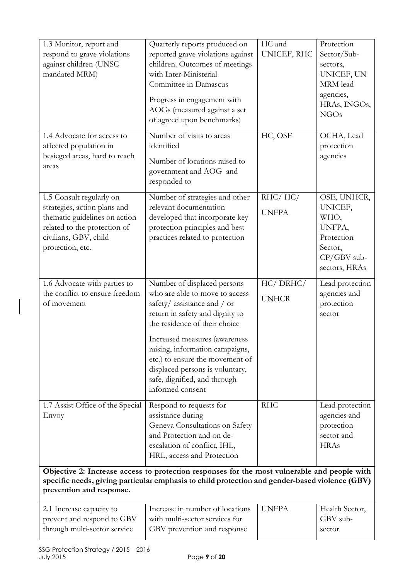| 1.3 Monitor, report and<br>respond to grave violations<br>against children (UNSC<br>mandated MRM)<br>1.4 Advocate for access to<br>affected population in<br>besieged areas, hard to reach | Quarterly reports produced on<br>reported grave violations against<br>children. Outcomes of meetings<br>with Inter-Ministerial<br>Committee in Damascus<br>Progress in engagement with<br>AOGs (measured against a set<br>of agreed upon benchmarks)<br>Number of visits to areas<br>identified<br>Number of locations raised to                              | $\overline{HC}$ and<br>UNICEF, RHC<br>HC, OSE | Protection<br>Sector/Sub-<br>sectors,<br>UNICEF, UN<br>MRM lead<br>agencies,<br>HRAs, INGOs,<br>NGOs<br>OCHA, Lead<br>protection<br>agencies |
|--------------------------------------------------------------------------------------------------------------------------------------------------------------------------------------------|---------------------------------------------------------------------------------------------------------------------------------------------------------------------------------------------------------------------------------------------------------------------------------------------------------------------------------------------------------------|-----------------------------------------------|----------------------------------------------------------------------------------------------------------------------------------------------|
| areas<br>1.5 Consult regularly on<br>strategies, action plans and<br>thematic guidelines on action<br>related to the protection of<br>civilians, GBV, child<br>protection, etc.            | government and AOG and<br>responded to<br>Number of strategies and other<br>relevant documentation<br>developed that incorporate key<br>protection principles and best<br>practices related to protection                                                                                                                                                     | RHC/HC/<br><b>UNFPA</b>                       | OSE, UNHCR,<br>UNICEF,<br>WHO,<br>UNFPA,<br>Protection<br>Sector,<br>$CP/GBV$ sub-<br>sectors, HRAs                                          |
| 1.6 Advocate with parties to<br>the conflict to ensure freedom<br>of movement                                                                                                              | Number of displaced persons<br>who are able to move to access<br>safety/assistance and / or<br>return in safety and dignity to<br>the residence of their choice<br>Increased measures (awareness<br>raising, information campaigns,<br>etc.) to ensure the movement of<br>displaced persons is voluntary,<br>safe, dignified, and through<br>informed consent | HC/DRHC/<br><b>UNHCR</b>                      | Lead protection<br>agencies and<br>protection<br>sector                                                                                      |
| 1.7 Assist Office of the Special<br>Envoy                                                                                                                                                  | Respond to requests for<br>assistance during<br>Geneva Consultations on Safety<br>and Protection and on de-<br>escalation of conflict, IHL,<br>HRL, access and Protection                                                                                                                                                                                     | <b>RHC</b>                                    | Lead protection<br>agencies and<br>protection<br>sector and<br><b>HRAs</b>                                                                   |
| prevention and response.                                                                                                                                                                   | Objective 2: Increase access to protection responses for the most vulnerable and people with<br>specific needs, giving particular emphasis to child protection and gender-based violence (GBV)                                                                                                                                                                |                                               |                                                                                                                                              |
| 2.1 Increase capacity to<br>prevent and respond to GBV<br>through multi-sector service                                                                                                     | Increase in number of locations<br>with multi-sector services for<br>GBV prevention and response                                                                                                                                                                                                                                                              | <b>UNFPA</b>                                  | Health Sector,<br>GBV sub-<br>sector                                                                                                         |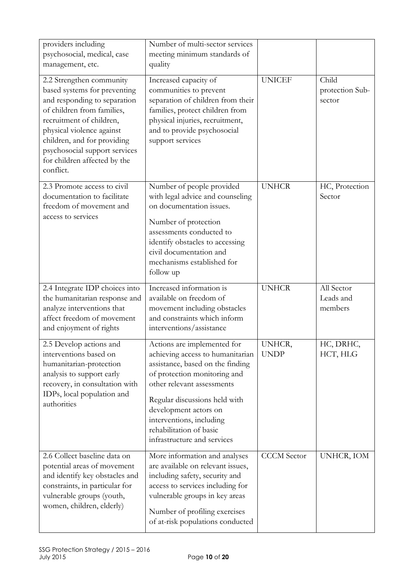| providers including<br>psychosocial, medical, case<br>management, etc.                                                                                                                                                                                                                       | Number of multi-sector services<br>meeting minimum standards of<br>quality                                                                                                                                                                                                                                        |                       |                                    |
|----------------------------------------------------------------------------------------------------------------------------------------------------------------------------------------------------------------------------------------------------------------------------------------------|-------------------------------------------------------------------------------------------------------------------------------------------------------------------------------------------------------------------------------------------------------------------------------------------------------------------|-----------------------|------------------------------------|
| 2.2 Strengthen community<br>based systems for preventing<br>and responding to separation<br>of children from families,<br>recruitment of children,<br>physical violence against<br>children, and for providing<br>psychosocial support services<br>for children affected by the<br>conflict. | Increased capacity of<br>communities to prevent<br>separation of children from their<br>families, protect children from<br>physical injuries, recruitment,<br>and to provide psychosocial<br>support services                                                                                                     | <b>UNICEF</b>         | Child<br>protection Sub-<br>sector |
| 2.3 Promote access to civil<br>documentation to facilitate<br>freedom of movement and<br>access to services                                                                                                                                                                                  | Number of people provided<br>with legal advice and counseling<br>on documentation issues.<br>Number of protection<br>assessments conducted to<br>identify obstacles to accessing<br>civil documentation and<br>mechanisms established for<br>follow up                                                            | <b>UNHCR</b>          | HC, Protection<br>Sector           |
| 2.4 Integrate IDP choices into<br>the humanitarian response and<br>analyze interventions that<br>affect freedom of movement<br>and enjoyment of rights                                                                                                                                       | Increased information is<br>available on freedom of<br>movement including obstacles<br>and constraints which inform<br>interventions/assistance                                                                                                                                                                   | <b>UNHCR</b>          | All Sector<br>Leads and<br>members |
| 2.5 Develop actions and<br>interventions based on<br>humanitarian-protection<br>analysis to support early<br>recovery, in consultation with<br>IDPs, local population and<br>authorities                                                                                                     | Actions are implemented for<br>achieving access to humanitarian<br>assistance, based on the finding<br>of protection monitoring and<br>other relevant assessments<br>Regular discussions held with<br>development actors on<br>interventions, including<br>rehabilitation of basic<br>infrastructure and services | UNHCR,<br><b>UNDP</b> | HC, DRHC,<br>HCT, HLG              |
| 2.6 Collect baseline data on<br>potential areas of movement<br>and identify key obstacles and<br>constraints, in particular for<br>vulnerable groups (youth,<br>women, children, elderly)                                                                                                    | More information and analyses<br>are available on relevant issues,<br>including safety, security and<br>access to services including for<br>vulnerable groups in key areas<br>Number of profiling exercises<br>of at-risk populations conducted                                                                   | <b>CCCM</b> Sector    | UNHCR, IOM                         |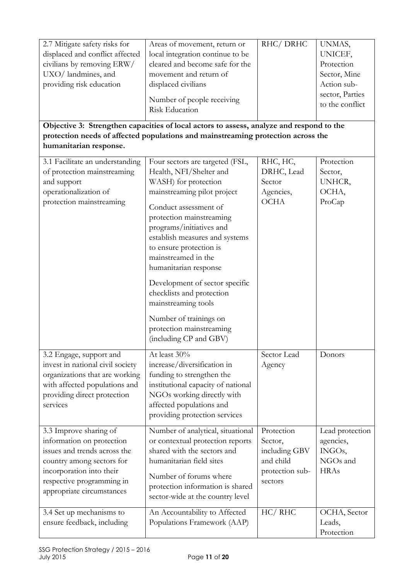| 2.7 Mitigate safety risks for<br>displaced and conflict affected<br>civilians by removing ERW/<br>UXO/landmines, and<br>providing risk education                                                       | Areas of movement, return or<br>local integration continue to be<br>cleared and become safe for the<br>movement and return of<br>displaced civilians<br>Number of people receiving<br><b>Risk Education</b><br>Objective 3: Strengthen capacities of local actors to assess, analyze and respond to the<br>protection needs of affected populations and mainstreaming protection across the | RHC/DRHC                                                                          | UNMAS,<br>UNICEF,<br>Protection<br>Sector, Mine<br>Action sub-<br>sector, Parties<br>to the conflict |
|--------------------------------------------------------------------------------------------------------------------------------------------------------------------------------------------------------|---------------------------------------------------------------------------------------------------------------------------------------------------------------------------------------------------------------------------------------------------------------------------------------------------------------------------------------------------------------------------------------------|-----------------------------------------------------------------------------------|------------------------------------------------------------------------------------------------------|
| humanitarian response.<br>3.1 Facilitate an understanding<br>of protection mainstreaming<br>and support<br>operationalization of<br>protection mainstreaming                                           | Four sectors are targeted (FSL,<br>Health, NFI/Shelter and<br>WASH) for protection<br>mainstreaming pilot project<br>Conduct assessment of<br>protection mainstreaming<br>programs/initiatives and<br>establish measures and systems<br>to ensure protection is                                                                                                                             | RHC, HC,<br>DRHC, Lead<br>Sector<br>Agencies,<br><b>OCHA</b>                      | Protection<br>Sector,<br>UNHCR,<br>OCHA,<br>ProCap                                                   |
|                                                                                                                                                                                                        | mainstreamed in the<br>humanitarian response<br>Development of sector specific<br>checklists and protection<br>mainstreaming tools<br>Number of trainings on<br>protection mainstreaming<br>(including CP and GBV)                                                                                                                                                                          |                                                                                   |                                                                                                      |
| 3.2 Engage, support and<br>invest in national civil society<br>organizations that are working<br>with affected populations and<br>providing direct protection<br>services                              | At least 30%<br>increase/diversification in<br>funding to strengthen the<br>institutional capacity of national<br>NGOs working directly with<br>affected populations and<br>providing protection services                                                                                                                                                                                   | Sector Lead<br>Agency                                                             | Donors                                                                                               |
| 3.3 Improve sharing of<br>information on protection<br>issues and trends across the<br>country among sectors for<br>incorporation into their<br>respective programming in<br>appropriate circumstances | Number of analytical, situational<br>or contextual protection reports<br>shared with the sectors and<br>humanitarian field sites<br>Number of forums where<br>protection information is shared<br>sector-wide at the country level                                                                                                                                                          | Protection<br>Sector,<br>including GBV<br>and child<br>protection sub-<br>sectors | Lead protection<br>agencies,<br>INGOs,<br>NGOs and<br><b>HRAs</b>                                    |
| 3.4 Set up mechanisms to<br>ensure feedback, including                                                                                                                                                 | An Accountability to Affected<br>Populations Framework (AAP)                                                                                                                                                                                                                                                                                                                                | HC/ RHC                                                                           | OCHA, Sector<br>Leads,<br>Protection                                                                 |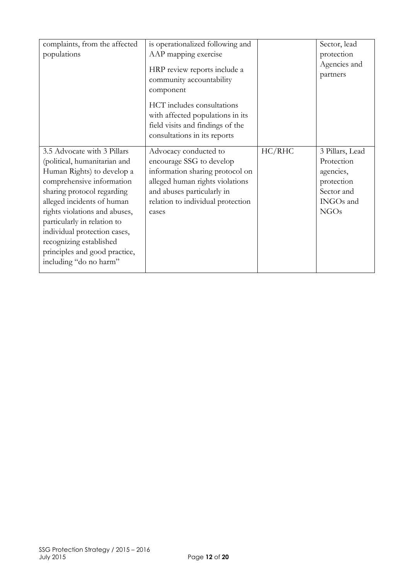| complaints, from the affected<br>populations | is operationalized following and<br>AAP mapping exercise<br>HRP review reports include a<br>community accountability<br>component<br>HCT includes consultations |        | Sector, lead<br>protection<br>Agencies and<br>partners |
|----------------------------------------------|-----------------------------------------------------------------------------------------------------------------------------------------------------------------|--------|--------------------------------------------------------|
|                                              | with affected populations in its                                                                                                                                |        |                                                        |
|                                              | field visits and findings of the                                                                                                                                |        |                                                        |
|                                              | consultations in its reports                                                                                                                                    |        |                                                        |
| 3.5 Advocate with 3 Pillars                  | Advocacy conducted to                                                                                                                                           | HC/RHC | 3 Pillars, Lead                                        |
| (political, humanitarian and                 | encourage SSG to develop                                                                                                                                        |        | Protection                                             |
| Human Rights) to develop a                   | information sharing protocol on                                                                                                                                 |        | agencies,                                              |
| comprehensive information                    | alleged human rights violations                                                                                                                                 |        | protection                                             |
| sharing protocol regarding                   | and abuses particularly in                                                                                                                                      |        | Sector and                                             |
| alleged incidents of human                   | relation to individual protection                                                                                                                               |        | INGOs and                                              |
| rights violations and abuses,                | cases                                                                                                                                                           |        | NGOs                                                   |
| particularly in relation to                  |                                                                                                                                                                 |        |                                                        |
| individual protection cases,                 |                                                                                                                                                                 |        |                                                        |
| recognizing established                      |                                                                                                                                                                 |        |                                                        |
| principles and good practice,                |                                                                                                                                                                 |        |                                                        |
| including "do no harm"                       |                                                                                                                                                                 |        |                                                        |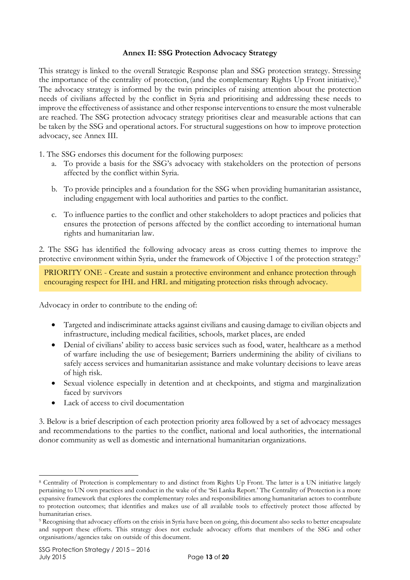#### **Annex II: SSG Protection Advocacy Strategy**

This strategy is linked to the overall Strategic Response plan and SSG protection strategy. Stressing the importance of the centrality of protection, (and the complementary Rights Up Front initiative). 8 The advocacy strategy is informed by the twin principles of raising attention about the protection needs of civilians affected by the conflict in Syria and prioritising and addressing these needs to improve the effectiveness of assistance and other response interventions to ensure the most vulnerable are reached. The SSG protection advocacy strategy prioritises clear and measurable actions that can be taken by the SSG and operational actors. For structural suggestions on how to improve protection advocacy, see Annex III.

1. The SSG endorses this document for the following purposes:

- a. To provide a basis for the SSG's advocacy with stakeholders on the protection of persons affected by the conflict within Syria.
- b. To provide principles and a foundation for the SSG when providing humanitarian assistance, including engagement with local authorities and parties to the conflict.
- c. To influence parties to the conflict and other stakeholders to adopt practices and policies that ensures the protection of persons affected by the conflict according to international human rights and humanitarian law.

2. The SSG has identified the following advocacy areas as cross cutting themes to improve the protective environment within Syria, under the framework of Objective 1 of the protection strategy:<sup>9</sup>

PRIORITY ONE - Create and sustain a protective environment and enhance protection through encouraging respect for IHL and HRL and mitigating protection risks through advocacy.

Advocacy in order to contribute to the ending of:

- Targeted and indiscriminate attacks against civilians and causing damage to civilian objects and infrastructure, including medical facilities, schools, market places, are ended
- Denial of civilians' ability to access basic services such as food, water, healthcare as a method of warfare including the use of besiegement; Barriers undermining the ability of civilians to safely access services and humanitarian assistance and make voluntary decisions to leave areas of high risk.
- Sexual violence especially in detention and at checkpoints, and stigma and marginalization faced by survivors
- Lack of access to civil documentation

3. Below is a brief description of each protection priority area followed by a set of advocacy messages and recommendations to the parties to the conflict, national and local authorities, the international donor community as well as domestic and international humanitarian organizations.

-

<sup>8</sup> Centrality of Protection is complementary to and distinct from Rights Up Front. The latter is a UN initiative largely pertaining to UN own practices and conduct in the wake of the 'Sri Lanka Report.' The Centrality of Protection is a more expansive framework that explores the complementary roles and responsibilities among humanitarian actors to contribute to protection outcomes; that identifies and makes use of all available tools to effectively protect those affected by humanitarian crises.

<sup>9</sup> Recognising that advocacy efforts on the crisis in Syria have been on going, this document also seeks to better encapsulate and support these efforts. This strategy does not exclude advocacy efforts that members of the SSG and other organisations/agencies take on outside of this document.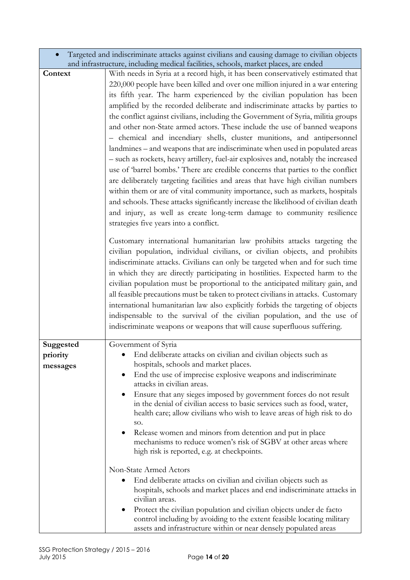|                                   | and infrastructure, including medical facilities, schools, market places, are ended                                                                                                                                                                                                                                                                                                                                                                                                                                                                                                                                                                                                                                                                                                                                                                                                                                                                                                                                                                                                                                                                                                                                                                                                                                                                                                                                                                                                                                                                                                                                                                                                                                                                                                                                                                                                                                                                               |
|-----------------------------------|-------------------------------------------------------------------------------------------------------------------------------------------------------------------------------------------------------------------------------------------------------------------------------------------------------------------------------------------------------------------------------------------------------------------------------------------------------------------------------------------------------------------------------------------------------------------------------------------------------------------------------------------------------------------------------------------------------------------------------------------------------------------------------------------------------------------------------------------------------------------------------------------------------------------------------------------------------------------------------------------------------------------------------------------------------------------------------------------------------------------------------------------------------------------------------------------------------------------------------------------------------------------------------------------------------------------------------------------------------------------------------------------------------------------------------------------------------------------------------------------------------------------------------------------------------------------------------------------------------------------------------------------------------------------------------------------------------------------------------------------------------------------------------------------------------------------------------------------------------------------------------------------------------------------------------------------------------------------|
| Context                           | With needs in Syria at a record high, it has been conservatively estimated that<br>220,000 people have been killed and over one million injured in a war entering<br>its fifth year. The harm experienced by the civilian population has been<br>amplified by the recorded deliberate and indiscriminate attacks by parties to<br>the conflict against civilians, including the Government of Syria, militia groups<br>and other non-State armed actors. These include the use of banned weapons<br>- chemical and incendiary shells, cluster munitions, and antipersonnel<br>landmines – and weapons that are indiscriminate when used in populated areas<br>- such as rockets, heavy artillery, fuel-air explosives and, notably the increased<br>use of 'barrel bombs.' There are credible concerns that parties to the conflict<br>are deliberately targeting facilities and areas that have high civilian numbers<br>within them or are of vital community importance, such as markets, hospitals<br>and schools. These attacks significantly increase the likelihood of civilian death<br>and injury, as well as create long-term damage to community resilience<br>strategies five years into a conflict.<br>Customary international humanitarian law prohibits attacks targeting the<br>civilian population, individual civilians, or civilian objects, and prohibits<br>indiscriminate attacks. Civilians can only be targeted when and for such time<br>in which they are directly participating in hostilities. Expected harm to the<br>civilian population must be proportional to the anticipated military gain, and<br>all feasible precautions must be taken to protect civilians in attacks. Customary<br>international humanitarian law also explicitly forbids the targeting of objects<br>indispensable to the survival of the civilian population, and the use of<br>indiscriminate weapons or weapons that will cause superfluous suffering. |
| Suggested<br>priority<br>messages | Government of Syria<br>End deliberate attacks on civilian and civilian objects such as<br>hospitals, schools and market places.<br>End the use of imprecise explosive weapons and indiscriminate<br>attacks in civilian areas.<br>Ensure that any sieges imposed by government forces do not result<br>in the denial of civilian access to basic services such as food, water,<br>health care; allow civilians who wish to leave areas of high risk to do<br>SO.<br>Release women and minors from detention and put in place<br>mechanisms to reduce women's risk of SGBV at other areas where<br>high risk is reported, e.g. at checkpoints.<br>Non-State Armed Actors<br>End deliberate attacks on civilian and civilian objects such as<br>hospitals, schools and market places and end indiscriminate attacks in<br>civilian areas.<br>Protect the civilian population and civilian objects under de facto                                                                                                                                                                                                                                                                                                                                                                                                                                                                                                                                                                                                                                                                                                                                                                                                                                                                                                                                                                                                                                                    |

• Targeted and indiscriminate attacks against civilians and causing damage to civilian objects

control including by avoiding to the extent feasible locating military assets and infrastructure within or near densely populated areas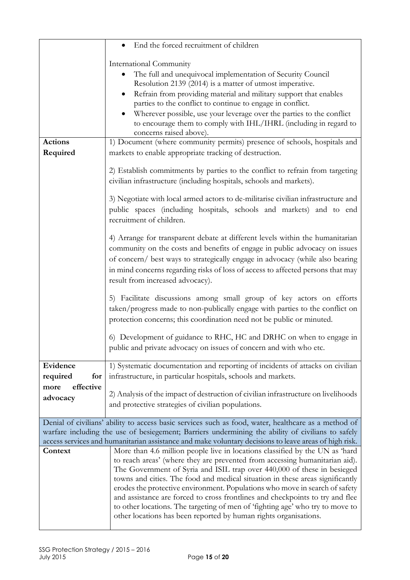|                               | End the forced recruitment of children                                                                                                                                                                                                                                                                                                                                                                                                                                                                                                                                                                                                       |
|-------------------------------|----------------------------------------------------------------------------------------------------------------------------------------------------------------------------------------------------------------------------------------------------------------------------------------------------------------------------------------------------------------------------------------------------------------------------------------------------------------------------------------------------------------------------------------------------------------------------------------------------------------------------------------------|
| <b>Actions</b>                | International Community<br>The full and unequivocal implementation of Security Council<br>Resolution 2139 (2014) is a matter of utmost imperative.<br>Refrain from providing material and military support that enables<br>parties to the conflict to continue to engage in conflict.<br>Wherever possible, use your leverage over the parties to the conflict<br>to encourage them to comply with IHL/IHRL (including in regard to<br>concerns raised above).<br>1) Document (where community permits) presence of schools, hospitals and                                                                                                   |
| Required                      | markets to enable appropriate tracking of destruction.                                                                                                                                                                                                                                                                                                                                                                                                                                                                                                                                                                                       |
|                               | 2) Establish commitments by parties to the conflict to refrain from targeting<br>civilian infrastructure (including hospitals, schools and markets).<br>3) Negotiate with local armed actors to de-militarise civilian infrastructure and<br>public spaces (including hospitals, schools and markets) and to end<br>recruitment of children.                                                                                                                                                                                                                                                                                                 |
|                               | 4) Arrange for transparent debate at different levels within the humanitarian<br>community on the costs and benefits of engage in public advocacy on issues<br>of concern/ best ways to strategically engage in advocacy (while also bearing<br>in mind concerns regarding risks of loss of access to affected persons that may<br>result from increased advocacy).                                                                                                                                                                                                                                                                          |
|                               | 5) Facilitate discussions among small group of key actors on efforts<br>taken/progress made to non-publically engage with parties to the conflict on<br>protection concerns; this coordination need not be public or minuted.                                                                                                                                                                                                                                                                                                                                                                                                                |
|                               | 6) Development of guidance to RHC, HC and DRHC on when to engage in<br>public and private advocacy on issues of concern and with who etc.                                                                                                                                                                                                                                                                                                                                                                                                                                                                                                    |
| Evidence<br>required<br>for   | 1) Systematic documentation and reporting of incidents of attacks on civilian<br>infrastructure, in particular hospitals, schools and markets.                                                                                                                                                                                                                                                                                                                                                                                                                                                                                               |
| effective<br>more<br>advocacy | 2) Analysis of the impact of destruction of civilian infrastructure on livelihoods<br>and protective strategies of civilian populations.                                                                                                                                                                                                                                                                                                                                                                                                                                                                                                     |
|                               | Denial of civilians' ability to access basic services such as food, water, healthcare as a method of<br>warfare including the use of besiegement; Barriers undermining the ability of civilians to safely<br>access services and humanitarian assistance and make voluntary decisions to leave areas of high risk.                                                                                                                                                                                                                                                                                                                           |
| Context                       | More than 4.6 million people live in locations classified by the UN as 'hard<br>to reach areas' (where they are prevented from accessing humanitarian aid).<br>The Government of Syria and ISIL trap over 440,000 of these in besieged<br>towns and cities. The food and medical situation in these areas significantly<br>erodes the protective environment. Populations who move in search of safety<br>and assistance are forced to cross frontlines and checkpoints to try and flee<br>to other locations. The targeting of men of 'fighting age' who try to move to<br>other locations has been reported by human rights organisations. |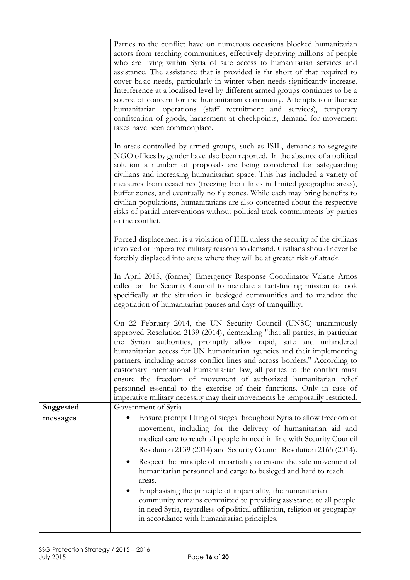|           | Parties to the conflict have on numerous occasions blocked humanitarian<br>actors from reaching communities, effectively depriving millions of people<br>who are living within Syria of safe access to humanitarian services and<br>assistance. The assistance that is provided is far short of that required to<br>cover basic needs, particularly in winter when needs significantly increase.<br>Interference at a localised level by different armed groups continues to be a<br>source of concern for the humanitarian community. Attempts to influence<br>humanitarian operations (staff recruitment and services), temporary<br>confiscation of goods, harassment at checkpoints, demand for movement<br>taxes have been commonplace. |
|-----------|----------------------------------------------------------------------------------------------------------------------------------------------------------------------------------------------------------------------------------------------------------------------------------------------------------------------------------------------------------------------------------------------------------------------------------------------------------------------------------------------------------------------------------------------------------------------------------------------------------------------------------------------------------------------------------------------------------------------------------------------|
|           | In areas controlled by armed groups, such as ISIL, demands to segregate<br>NGO offices by gender have also been reported. In the absence of a political<br>solution a number of proposals are being considered for safeguarding<br>civilians and increasing humanitarian space. This has included a variety of<br>measures from ceasefires (freezing front lines in limited geographic areas),<br>buffer zones, and eventually no fly zones. While each may bring benefits to<br>civilian populations, humanitarians are also concerned about the respective<br>risks of partial interventions without political track commitments by parties<br>to the conflict.                                                                            |
|           | Forced displacement is a violation of IHL unless the security of the civilians<br>involved or imperative military reasons so demand. Civilians should never be<br>forcibly displaced into areas where they will be at greater risk of attack.                                                                                                                                                                                                                                                                                                                                                                                                                                                                                                |
|           | In April 2015, (former) Emergency Response Coordinator Valarie Amos<br>called on the Security Council to mandate a fact-finding mission to look<br>specifically at the situation in besieged communities and to mandate the<br>negotiation of humanitarian pauses and days of tranquillity.                                                                                                                                                                                                                                                                                                                                                                                                                                                  |
|           | On 22 February 2014, the UN Security Council (UNSC) unanimously<br>approved Resolution 2139 (2014), demanding "that all parties, in particular<br>the Syrian authorities, promptly allow rapid, safe and unhindered<br>humanitarian access for UN humanitarian agencies and their implementing<br>partners, including across conflict lines and across borders." According to<br>customary international humanitarian law, all parties to the conflict must<br>ensure the freedom of movement of authorized humanitarian relief<br>personnel essential to the exercise of their functions. Only in case of<br>imperative military necessity may their movements be temporarily restricted.                                                   |
| Suggested | Government of Syria                                                                                                                                                                                                                                                                                                                                                                                                                                                                                                                                                                                                                                                                                                                          |
| messages  | Ensure prompt lifting of sieges throughout Syria to allow freedom of                                                                                                                                                                                                                                                                                                                                                                                                                                                                                                                                                                                                                                                                         |
|           | movement, including for the delivery of humanitarian aid and<br>medical care to reach all people in need in line with Security Council<br>Resolution 2139 (2014) and Security Council Resolution 2165 (2014).<br>Respect the principle of impartiality to ensure the safe movement of<br>humanitarian personnel and cargo to besieged and hard to reach<br>areas.<br>Emphasising the principle of impartiality, the humanitarian<br>community remains committed to providing assistance to all people                                                                                                                                                                                                                                        |
|           | in need Syria, regardless of political affiliation, religion or geography<br>in accordance with humanitarian principles.                                                                                                                                                                                                                                                                                                                                                                                                                                                                                                                                                                                                                     |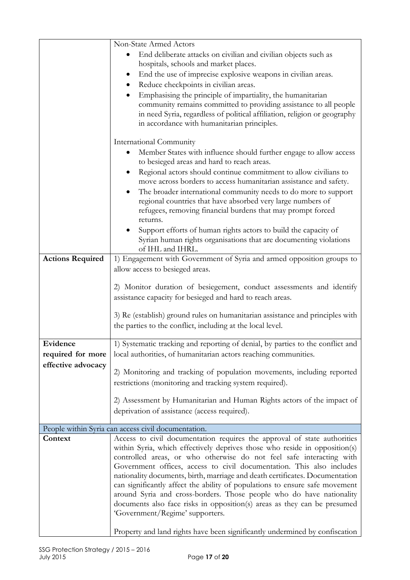|                         | Non-State Armed Actors                                                                                                                                                                                        |
|-------------------------|---------------------------------------------------------------------------------------------------------------------------------------------------------------------------------------------------------------|
|                         | End deliberate attacks on civilian and civilian objects such as                                                                                                                                               |
|                         | hospitals, schools and market places.                                                                                                                                                                         |
|                         | End the use of imprecise explosive weapons in civilian areas.                                                                                                                                                 |
|                         | Reduce checkpoints in civilian areas.                                                                                                                                                                         |
|                         | Emphasising the principle of impartiality, the humanitarian<br>community remains committed to providing assistance to all people<br>in need Syria, regardless of political affiliation, religion or geography |
|                         | in accordance with humanitarian principles.                                                                                                                                                                   |
|                         | International Community                                                                                                                                                                                       |
|                         | Member States with influence should further engage to allow access                                                                                                                                            |
|                         | to besieged areas and hard to reach areas.                                                                                                                                                                    |
|                         | Regional actors should continue commitment to allow civilians to<br>move across borders to access humanitarian assistance and safety.                                                                         |
|                         | The broader international community needs to do more to support<br>regional countries that have absorbed very large numbers of<br>refugees, removing financial burdens that may prompt forced                 |
|                         | returns.                                                                                                                                                                                                      |
|                         | Support efforts of human rights actors to build the capacity of<br>Syrian human rights organisations that are documenting violations<br>of IHL and IHRL.                                                      |
| <b>Actions Required</b> | 1) Engagement with Government of Syria and armed opposition groups to                                                                                                                                         |
|                         | allow access to besieged areas.                                                                                                                                                                               |
|                         |                                                                                                                                                                                                               |
|                         | 2) Monitor duration of besiegement, conduct assessments and identify                                                                                                                                          |
|                         | assistance capacity for besieged and hard to reach areas.                                                                                                                                                     |
|                         |                                                                                                                                                                                                               |
|                         | 3) Re (establish) ground rules on humanitarian assistance and principles with                                                                                                                                 |
|                         | the parties to the conflict, including at the local level.                                                                                                                                                    |
|                         |                                                                                                                                                                                                               |
| Evidence                | 1) Systematic tracking and reporting of denial, by parties to the conflict and                                                                                                                                |
| required for more       | local authorities, of humanitarian actors reaching communities.                                                                                                                                               |
| effective advocacy      |                                                                                                                                                                                                               |
|                         | 2) Monitoring and tracking of population movements, including reported                                                                                                                                        |
|                         | restrictions (monitoring and tracking system required).                                                                                                                                                       |
|                         |                                                                                                                                                                                                               |
|                         | 2) Assessment by Humanitarian and Human Rights actors of the impact of                                                                                                                                        |
|                         | deprivation of assistance (access required).                                                                                                                                                                  |
|                         | People within Syria can access civil documentation.                                                                                                                                                           |
| Context                 | Access to civil documentation requires the approval of state authorities                                                                                                                                      |
|                         | within Syria, which effectively deprives those who reside in opposition(s)                                                                                                                                    |
|                         | controlled areas, or who otherwise do not feel safe interacting with                                                                                                                                          |
|                         | Government offices, access to civil documentation. This also includes                                                                                                                                         |
|                         | nationality documents, birth, marriage and death certificates. Documentation                                                                                                                                  |
|                         | can significantly affect the ability of populations to ensure safe movement                                                                                                                                   |
|                         | around Syria and cross-borders. Those people who do have nationality                                                                                                                                          |
|                         | documents also face risks in opposition(s) areas as they can be presumed                                                                                                                                      |
|                         | 'Government/Regime' supporters.                                                                                                                                                                               |
|                         | Property and land rights have been significantly undermined by confiscation                                                                                                                                   |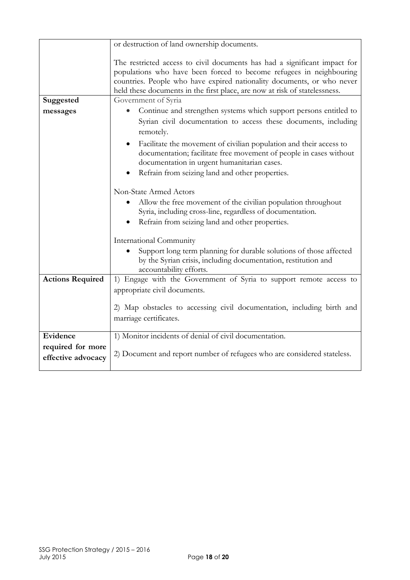|                         | or destruction of land ownership documents.                                                                                                                                                                                                                                                              |  |  |
|-------------------------|----------------------------------------------------------------------------------------------------------------------------------------------------------------------------------------------------------------------------------------------------------------------------------------------------------|--|--|
|                         |                                                                                                                                                                                                                                                                                                          |  |  |
|                         | The restricted access to civil documents has had a significant impact for<br>populations who have been forced to become refugees in neighbouring<br>countries. People who have expired nationality documents, or who never<br>held these documents in the first place, are now at risk of statelessness. |  |  |
| Suggested               | Government of Syria                                                                                                                                                                                                                                                                                      |  |  |
| messages                | Continue and strengthen systems which support persons entitled to                                                                                                                                                                                                                                        |  |  |
|                         | Syrian civil documentation to access these documents, including<br>remotely.                                                                                                                                                                                                                             |  |  |
|                         | Facilitate the movement of civilian population and their access to<br>documentation; facilitate free movement of people in cases without<br>documentation in urgent humanitarian cases.                                                                                                                  |  |  |
|                         | Refrain from seizing land and other properties.                                                                                                                                                                                                                                                          |  |  |
|                         | Non-State Armed Actors                                                                                                                                                                                                                                                                                   |  |  |
|                         | Allow the free movement of the civilian population throughout<br>Syria, including cross-line, regardless of documentation.                                                                                                                                                                               |  |  |
|                         | Refrain from seizing land and other properties.                                                                                                                                                                                                                                                          |  |  |
|                         | International Community                                                                                                                                                                                                                                                                                  |  |  |
|                         | Support long term planning for durable solutions of those affected<br>by the Syrian crisis, including documentation, restitution and<br>accountability efforts.                                                                                                                                          |  |  |
| <b>Actions Required</b> | 1) Engage with the Government of Syria to support remote access to                                                                                                                                                                                                                                       |  |  |
|                         | appropriate civil documents.                                                                                                                                                                                                                                                                             |  |  |
|                         | 2) Map obstacles to accessing civil documentation, including birth and                                                                                                                                                                                                                                   |  |  |
|                         | marriage certificates.                                                                                                                                                                                                                                                                                   |  |  |
| Evidence                | 1) Monitor incidents of denial of civil documentation.                                                                                                                                                                                                                                                   |  |  |
| required for more       |                                                                                                                                                                                                                                                                                                          |  |  |
| effective advocacy      | 2) Document and report number of refugees who are considered stateless.                                                                                                                                                                                                                                  |  |  |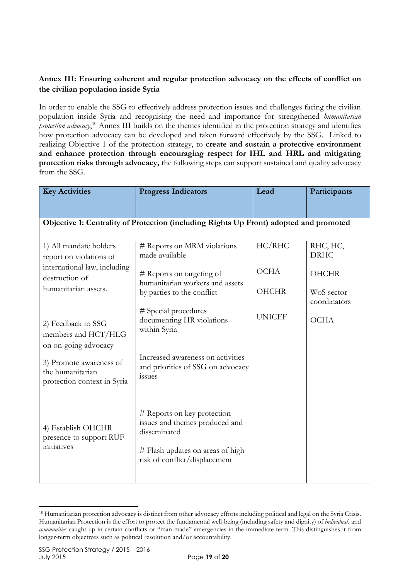# **Annex III: Ensuring coherent and regular protection advocacy on the effects of conflict on the civilian population inside Syria**

In order to enable the SSG to effectively address protection issues and challenges facing the civilian population inside Syria and recognising the need and importance for strengthened *humanitarian protection advocacy*, <sup>10</sup> Annex III builds on the themes identified in the protection strategy and identifies how protection advocacy can be developed and taken forward effectively by the SSG. Linked to realizing Objective 1 of the protection strategy, to **create and sustain a protective environment and enhance protection through encouraging respect for IHL and HRL and mitigating protection risks through advocacy,** the following steps can support sustained and quality advocacy from the SSG.

| <b>Key Activities</b>                                                                               | <b>Progress Indicators</b>                                                                                                                         | Lead                  | Participants                            |
|-----------------------------------------------------------------------------------------------------|----------------------------------------------------------------------------------------------------------------------------------------------------|-----------------------|-----------------------------------------|
| Objective 1: Centrality of Protection (including Rights Up Front) adopted and promoted              |                                                                                                                                                    |                       |                                         |
| 1) All mandate holders<br>report on violations of<br>international law, including<br>destruction of | # Reports on MRM violations<br>made available<br># Reports on targeting of<br>humanitarian workers and assets                                      | HC/RHC<br><b>OCHA</b> | RHC, HC,<br><b>DRHC</b><br><b>OHCHR</b> |
| humanitarian assets.                                                                                | by parties to the conflict<br># Special procedures                                                                                                 | <b>OHCHR</b>          | WoS sector<br>coordinators              |
| 2) Feedback to SSG<br>members and HCT/HLG<br>on on-going advocacy                                   | documenting HR violations<br>within Syria                                                                                                          | <b>UNICEF</b>         | <b>OCHA</b>                             |
| 3) Promote awareness of<br>the humanitarian<br>protection context in Syria                          | Increased awareness on activities<br>and priorities of SSG on advocacy<br>issues                                                                   |                       |                                         |
| 4) Establish OHCHR<br>presence to support RUF<br>initiatives                                        | # Reports on key protection<br>issues and themes produced and<br>disseminated<br># Flash updates on areas of high<br>risk of conflict/displacement |                       |                                         |
|                                                                                                     |                                                                                                                                                    |                       |                                         |

<sup>-</sup><sup>10</sup> Humanitarian protection advocacy is distinct from other advocacy efforts including political and legal on the Syria Crisis. Humanitarian Protection is the effort to protect the fundamental well-being (including safety and dignity) of *individuals* and *communities* caught up in certain conflicts or "man-made" emergencies in the immediate term. This distinguishes it from longer-term objectives such as political resolution and/or accountability.